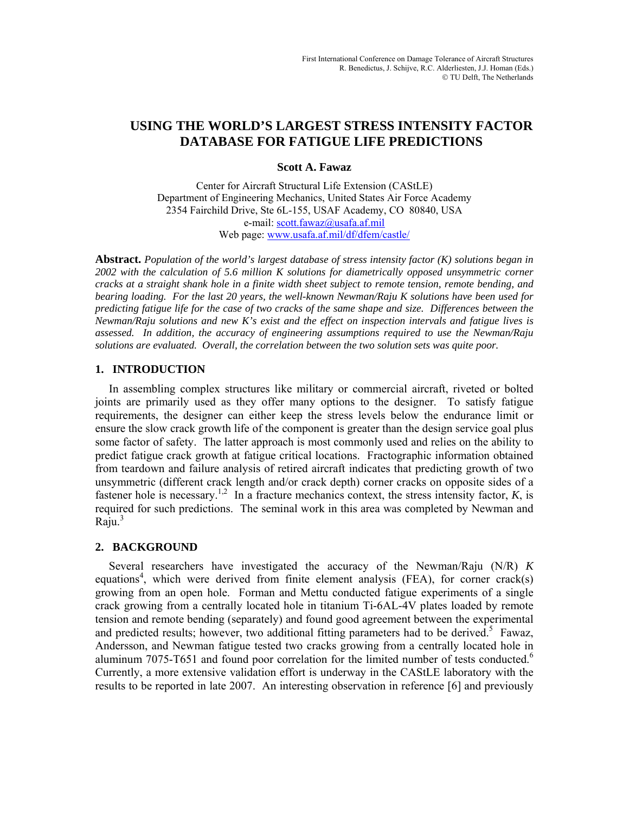# **USING THE WORLD'S LARGEST STRESS INTENSITY FACTOR DATABASE FOR FATIGUE LIFE PREDICTIONS**

# **Scott A. Fawaz**

Center for Aircraft Structural Life Extension (CAStLE) Department of Engineering Mechanics, United States Air Force Academy 2354 Fairchild Drive, Ste 6L-155, USAF Academy, CO 80840, USA e-mail: scott.fawaz@usafa.af.mil Web page: www.usafa.af.mil/df/dfem/castle/

**Abstract.** *Population of the world's largest database of stress intensity factor (K) solutions began in 2002 with the calculation of 5.6 million K solutions for diametrically opposed unsymmetric corner cracks at a straight shank hole in a finite width sheet subject to remote tension, remote bending, and bearing loading. For the last 20 years, the well-known Newman/Raju K solutions have been used for predicting fatigue life for the case of two cracks of the same shape and size. Differences between the Newman/Raju solutions and new K's exist and the effect on inspection intervals and fatigue lives is assessed. In addition, the accuracy of engineering assumptions required to use the Newman/Raju solutions are evaluated. Overall, the correlation between the two solution sets was quite poor.* 

# **1. INTRODUCTION**

In assembling complex structures like military or commercial aircraft, riveted or bolted joints are primarily used as they offer many options to the designer. To satisfy fatigue requirements, the designer can either keep the stress levels below the endurance limit or ensure the slow crack growth life of the component is greater than the design service goal plus some factor of safety. The latter approach is most commonly used and relies on the ability to predict fatigue crack growth at fatigue critical locations. Fractographic information obtained from teardown and failure analysis of retired aircraft indicates that predicting growth of two unsymmetric (different crack length and/or crack depth) corner cracks on opposite sides of a fastener hole is necessary.<sup>1,2</sup> In a fracture mechanics context, the stress intensity factor,  $K$ , is required for such predictions. The seminal work in this area was completed by Newman and Raju. $3$ 

# **2. BACKGROUND**

Several researchers have investigated the accuracy of the Newman/Raju (N/R) *K* equations<sup>4</sup>, which were derived from finite element analysis (FEA), for corner crack(s) growing from an open hole. Forman and Mettu conducted fatigue experiments of a single crack growing from a centrally located hole in titanium Ti-6AL-4V plates loaded by remote tension and remote bending (separately) and found good agreement between the experimental and predicted results; however, two additional fitting parameters had to be derived.<sup>5</sup> Fawaz, Andersson, and Newman fatigue tested two cracks growing from a centrally located hole in aluminum 7075-T651 and found poor correlation for the limited number of tests conducted.<sup>6</sup> Currently, a more extensive validation effort is underway in the CAStLE laboratory with the results to be reported in late 2007. An interesting observation in reference [6] and previously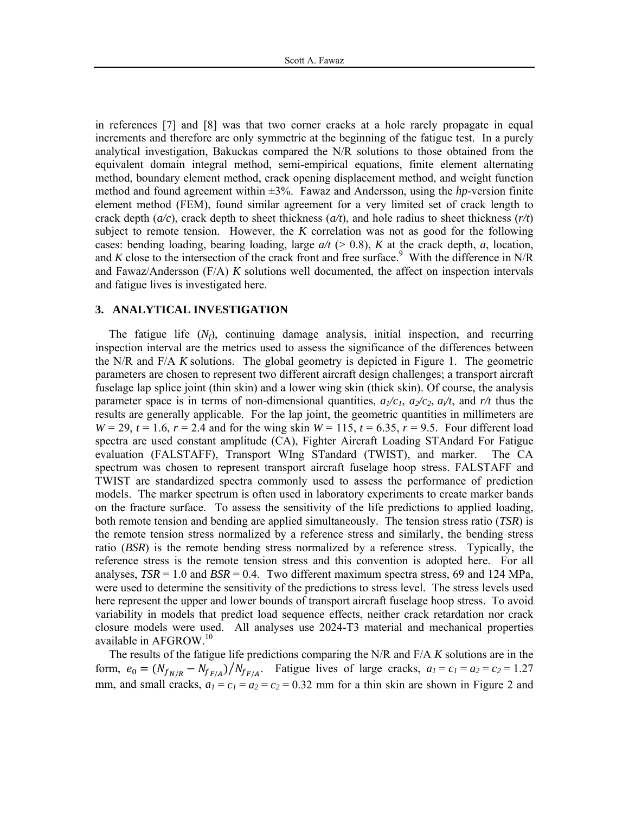in references [7] and [8] was that two corner cracks at a hole rarely propagate in equal increments and therefore are only symmetric at the beginning of the fatigue test. In a purely analytical investigation, Bakuckas compared the N/R solutions to those obtained from the equivalent domain integral method, semi-empirical equations, finite element alternating method, boundary element method, crack opening displacement method, and weight function method and found agreement within ±3%. Fawaz and Andersson, using the *hp*-version finite element method (FEM), found similar agreement for a very limited set of crack length to crack depth (*a/c*), crack depth to sheet thickness (*a/t*), and hole radius to sheet thickness (*r/t*) subject to remote tension. However, the *K* correlation was not as good for the following cases: bending loading, bearing loading, large  $a/t$  ( $> 0.8$ ), *K* at the crack depth, *a*, location, and  $K$  close to the intersection of the crack front and free surface.<sup>9</sup> With the difference in N/R and Fawaz/Andersson (F/A) *K* solutions well documented, the affect on inspection intervals and fatigue lives is investigated here.

#### **3. ANALYTICAL INVESTIGATION**

The fatigue life  $(N_f)$ , continuing damage analysis, initial inspection, and recurring inspection interval are the metrics used to assess the significance of the differences between the N/R and F/A *K* solutions. The global geometry is depicted in Figure 1. The geometric parameters are chosen to represent two different aircraft design challenges; a transport aircraft fuselage lap splice joint (thin skin) and a lower wing skin (thick skin). Of course, the analysis parameter space is in terms of non-dimensional quantities,  $a_1/c_1$ ,  $a_2/c_2$ ,  $a_i/t$ , and  $r/t$  thus the results are generally applicable. For the lap joint, the geometric quantities in millimeters are *W* = 29, *t* = 1.6, *r* = 2.4 and for the wing skin *W* = 115, *t* = 6.35, *r* = 9.5. Four different load spectra are used constant amplitude (CA), Fighter Aircraft Loading STAndard For Fatigue evaluation (FALSTAFF), Transport WIng STandard (TWIST), and marker. The CA spectrum was chosen to represent transport aircraft fuselage hoop stress. FALSTAFF and TWIST are standardized spectra commonly used to assess the performance of prediction models. The marker spectrum is often used in laboratory experiments to create marker bands on the fracture surface. To assess the sensitivity of the life predictions to applied loading, both remote tension and bending are applied simultaneously. The tension stress ratio (*TSR*) is the remote tension stress normalized by a reference stress and similarly, the bending stress ratio (*BSR*) is the remote bending stress normalized by a reference stress. Typically, the reference stress is the remote tension stress and this convention is adopted here. For all analyses,  $TSR = 1.0$  and  $BSR = 0.4$ . Two different maximum spectra stress, 69 and 124 MPa, were used to determine the sensitivity of the predictions to stress level. The stress levels used here represent the upper and lower bounds of transport aircraft fuselage hoop stress. To avoid variability in models that predict load sequence effects, neither crack retardation nor crack closure models were used. All analyses use 2024-T3 material and mechanical properties available in AFGROW.10

The results of the fatigue life predictions comparing the N/R and F/A *K* solutions are in the form,  $e_0 = (N_{f_{N/R}} - N_{f_{F/A}})/N_{f_{F/A}}$ . Fatigue lives of large cracks,  $a_1 = c_1 = a_2 = c_2 = 1.27$ mm, and small cracks,  $a_1 = c_1 = a_2 = c_2 = 0.32$  mm for a thin skin are shown in Figure 2 and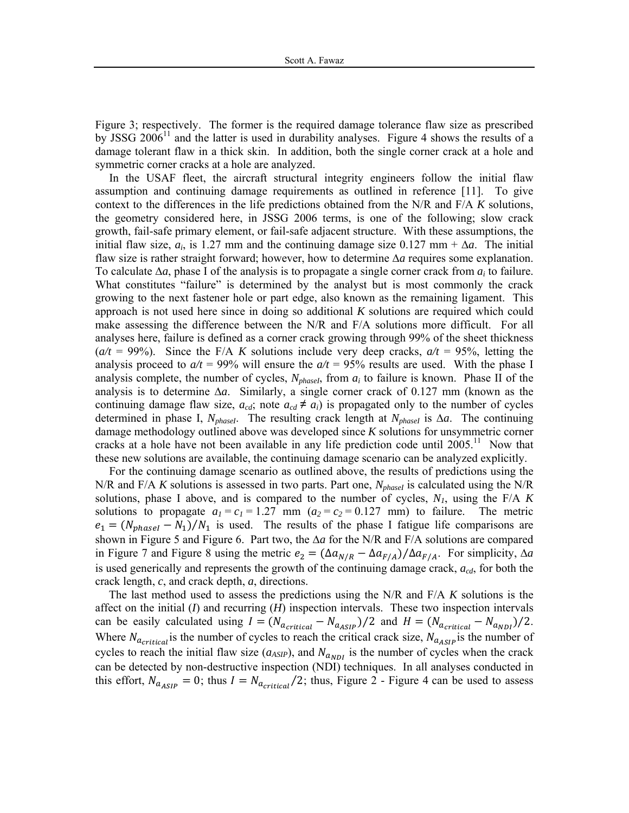Figure 3; respectively. The former is the required damage tolerance flaw size as prescribed by JSSG  $2006<sup>11</sup>$  and the latter is used in durability analyses. Figure 4 shows the results of a damage tolerant flaw in a thick skin. In addition, both the single corner crack at a hole and symmetric corner cracks at a hole are analyzed.

In the USAF fleet, the aircraft structural integrity engineers follow the initial flaw assumption and continuing damage requirements as outlined in reference [11]. To give context to the differences in the life predictions obtained from the N/R and F/A *K* solutions, the geometry considered here, in JSSG 2006 terms, is one of the following; slow crack growth, fail-safe primary element, or fail-safe adjacent structure. With these assumptions, the initial flaw size,  $a_i$ , is 1.27 mm and the continuing damage size 0.127 mm +  $\Delta a$ . The initial flaw size is rather straight forward; however, how to determine *∆a* requires some explanation. To calculate *∆a*, phase I of the analysis is to propagate a single corner crack from *ai* to failure. What constitutes "failure" is determined by the analyst but is most commonly the crack growing to the next fastener hole or part edge, also known as the remaining ligament. This approach is not used here since in doing so additional *K* solutions are required which could make assessing the difference between the N/R and F/A solutions more difficult. For all analyses here, failure is defined as a corner crack growing through 99% of the sheet thickness  $(a/t = 99\%)$ . Since the F/A K solutions include very deep cracks,  $a/t = 95\%$ , letting the analysis proceed to  $a/t = 99\%$  will ensure the  $a/t = 95\%$  results are used. With the phase I analysis complete, the number of cycles,  $N_{phaseI}$ , from  $a_i$  to failure is known. Phase II of the analysis is to determine *∆a*. Similarly, a single corner crack of 0.127 mm (known as the continuing damage flaw size,  $a_{cd}$ ; note  $a_{cd} \neq a_i$ ) is propagated only to the number of cycles determined in phase I,  $N_{phaseI}$ . The resulting crack length at  $N_{phaseI}$  is  $\Delta a$ . The continuing damage methodology outlined above was developed since *K* solutions for unsymmetric corner cracks at a hole have not been available in any life prediction code until  $2005$ .<sup>11</sup> Now that these new solutions are available, the continuing damage scenario can be analyzed explicitly.

For the continuing damage scenario as outlined above, the results of predictions using the N/R and F/A *K* solutions is assessed in two parts. Part one,  $N_{phaseI}$  is calculated using the N/R solutions, phase I above, and is compared to the number of cycles, *N1*, using the F/A *K* solutions to propagate  $a_1 = c_1 = 1.27$  mm  $(a_2 = c_2 = 0.127$  mm) to failure. The metric  $e_1 = (N_{phaseI} - N_1)/N_1$  is used. The results of the phase I fatigue life comparisons are shown in Figure 5 and Figure 6. Part two, the *∆a* for the N/R and F/A solutions are compared in Figure 7 and Figure 8 using the metric  $e_2 = (\Delta a_{N/R} - \Delta a_{F/A})/\Delta a_{F/A}$ . For simplicity,  $\Delta a$ is used generically and represents the growth of the continuing damage crack, *acd*, for both the crack length, *c*, and crack depth, *a*, directions.

The last method used to assess the predictions using the N/R and F/A *K* solutions is the affect on the initial (*I*) and recurring (*H*) inspection intervals. These two inspection intervals can be easily calculated using  $I = (N_{a_{critical}} - N_{a_{ASIP}})/2$  and  $H = (N_{a_{critical}} - N_{a_{NDI}})/2$ . Where  $N_{a_{critical}}$  is the number of cycles to reach the critical crack size,  $N_{a_{ASIP}}$  is the number of cycles to reach the initial flaw size  $(a_{ASIP})$ , and  $N_{a_{NDI}}$  is the number of cycles when the crack can be detected by non-destructive inspection (NDI) techniques. In all analyses conducted in this effort,  $N_{a_{ASIP}} = 0$ ; thus  $I = N_{a_{critical}}/2$ ; thus, Figure 2 - Figure 4 can be used to assess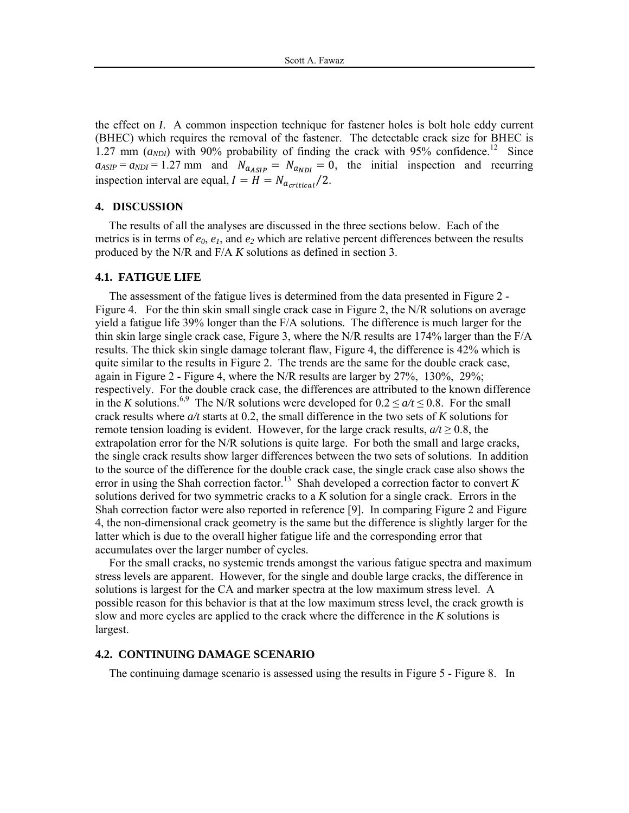the effect on *I*. A common inspection technique for fastener holes is bolt hole eddy current (BHEC) which requires the removal of the fastener. The detectable crack size for BHEC is 1.27 mm  $(a_{NDI})$  with 90% probability of finding the crack with 95% confidence.<sup>12</sup> Since  $a_{ASIP} = a_{NDI} = 1.27$  mm and  $N_{a_{ASIP}} = N_{a_{NDI}} = 0$ , the initial inspection and recurring inspection interval are equal,  $I = H = N_{\alpha_{critical}}/2$ .

#### **4. DISCUSSION**

The results of all the analyses are discussed in the three sections below. Each of the metrics is in terms of  $e_0$ ,  $e_1$ , and  $e_2$  which are relative percent differences between the results produced by the N/R and F/A *K* solutions as defined in section 3.

## **4.1. FATIGUE LIFE**

The assessment of the fatigue lives is determined from the data presented in Figure 2 - Figure 4. For the thin skin small single crack case in Figure 2, the N/R solutions on average yield a fatigue life 39% longer than the F/A solutions. The difference is much larger for the thin skin large single crack case, Figure 3, where the N/R results are 174% larger than the F/A results. The thick skin single damage tolerant flaw, Figure 4, the difference is 42% which is quite similar to the results in Figure 2. The trends are the same for the double crack case, again in Figure 2 - Figure 4, where the N/R results are larger by 27%, 130%, 29%; respectively. For the double crack case, the differences are attributed to the known difference in the *K* solutions.<sup>6,9</sup> The N/R solutions were developed for  $0.2 \le a/t \le 0.8$ . For the small crack results where *a/t* starts at 0.2, the small difference in the two sets of *K* solutions for remote tension loading is evident. However, for the large crack results,  $a/t \ge 0.8$ , the extrapolation error for the N/R solutions is quite large. For both the small and large cracks, the single crack results show larger differences between the two sets of solutions. In addition to the source of the difference for the double crack case, the single crack case also shows the error in using the Shah correction factor.<sup>13</sup> Shah developed a correction factor to convert  $K$ solutions derived for two symmetric cracks to a *K* solution for a single crack. Errors in the Shah correction factor were also reported in reference [9]. In comparing Figure 2 and Figure 4, the non-dimensional crack geometry is the same but the difference is slightly larger for the latter which is due to the overall higher fatigue life and the corresponding error that accumulates over the larger number of cycles.

For the small cracks, no systemic trends amongst the various fatigue spectra and maximum stress levels are apparent. However, for the single and double large cracks, the difference in solutions is largest for the CA and marker spectra at the low maximum stress level. A possible reason for this behavior is that at the low maximum stress level, the crack growth is slow and more cycles are applied to the crack where the difference in the *K* solutions is largest.

# **4.2. CONTINUING DAMAGE SCENARIO**

The continuing damage scenario is assessed using the results in Figure 5 - Figure 8. In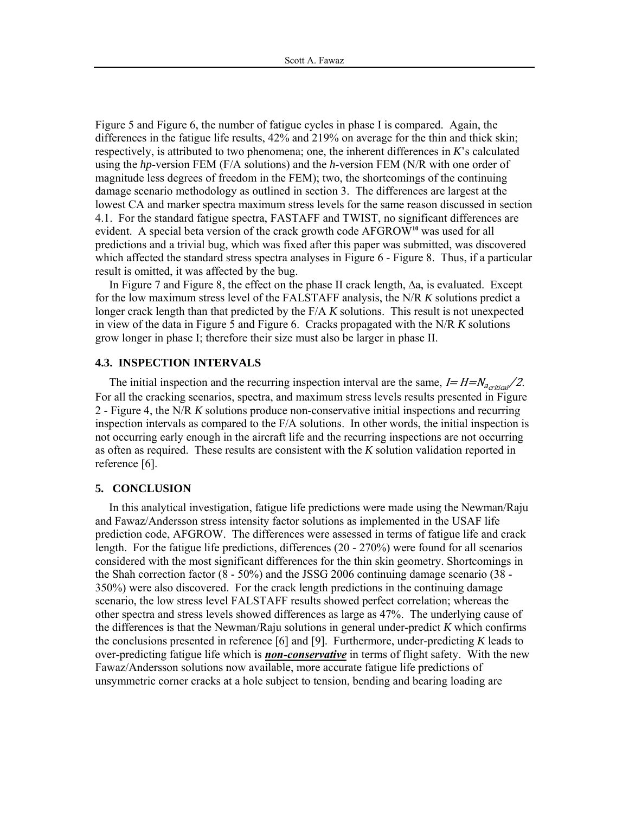Figure 5 and Figure 6, the number of fatigue cycles in phase I is compared. Again, the differences in the fatigue life results, 42% and 219% on average for the thin and thick skin; respectively, is attributed to two phenomena; one, the inherent differences in *K*'s calculated using the *hp*-version FEM (F/A solutions) and the *h*-version FEM (N/R with one order of magnitude less degrees of freedom in the FEM); two, the shortcomings of the continuing damage scenario methodology as outlined in section 3. The differences are largest at the lowest CA and marker spectra maximum stress levels for the same reason discussed in section 4.1. For the standard fatigue spectra, FASTAFF and TWIST, no significant differences are evident. A special beta version of the crack growth code AFGROW**<sup>10</sup>** was used for all predictions and a trivial bug, which was fixed after this paper was submitted, was discovered which affected the standard stress spectra analyses in Figure 6 - Figure 8. Thus, if a particular result is omitted, it was affected by the bug.

In Figure 7 and Figure 8, the effect on the phase II crack length, ∆a, is evaluated. Except for the low maximum stress level of the FALSTAFF analysis, the N/R *K* solutions predict a longer crack length than that predicted by the F/A *K* solutions. This result is not unexpected in view of the data in Figure 5 and Figure 6. Cracks propagated with the N/R *K* solutions grow longer in phase I; therefore their size must also be larger in phase II.

## **4.3. INSPECTION INTERVALS**

The initial inspection and the recurring inspection interval are the same,  $I = H = N_{\text{acritical}}/2$ . For all the cracking scenarios, spectra, and maximum stress levels results presented in Figure 2 - Figure 4, the N/R *K* solutions produce non-conservative initial inspections and recurring inspection intervals as compared to the F/A solutions. In other words, the initial inspection is not occurring early enough in the aircraft life and the recurring inspections are not occurring as often as required. These results are consistent with the *K* solution validation reported in reference [6].

## **5. CONCLUSION**

In this analytical investigation, fatigue life predictions were made using the Newman/Raju and Fawaz/Andersson stress intensity factor solutions as implemented in the USAF life prediction code, AFGROW. The differences were assessed in terms of fatigue life and crack length. For the fatigue life predictions, differences (20 - 270%) were found for all scenarios considered with the most significant differences for the thin skin geometry. Shortcomings in the Shah correction factor (8 - 50%) and the JSSG 2006 continuing damage scenario (38 - 350%) were also discovered. For the crack length predictions in the continuing damage scenario, the low stress level FALSTAFF results showed perfect correlation; whereas the other spectra and stress levels showed differences as large as 47%. The underlying cause of the differences is that the Newman/Raju solutions in general under-predict *K* which confirms the conclusions presented in reference [6] and [9]. Furthermore, under-predicting *K* leads to over-predicting fatigue life which is *non-conservative* in terms of flight safety. With the new Fawaz/Andersson solutions now available, more accurate fatigue life predictions of unsymmetric corner cracks at a hole subject to tension, bending and bearing loading are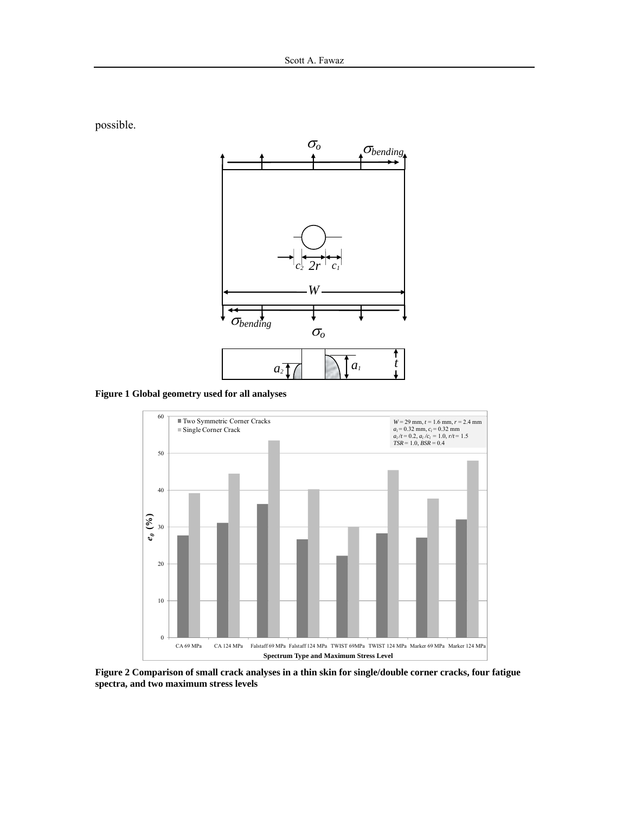

possible.

**Figure 1 Global geometry used for all analyses** 



**Figure 2 Comparison of small crack analyses in a thin skin for single/double corner cracks, four fatigue spectra, and two maximum stress levels**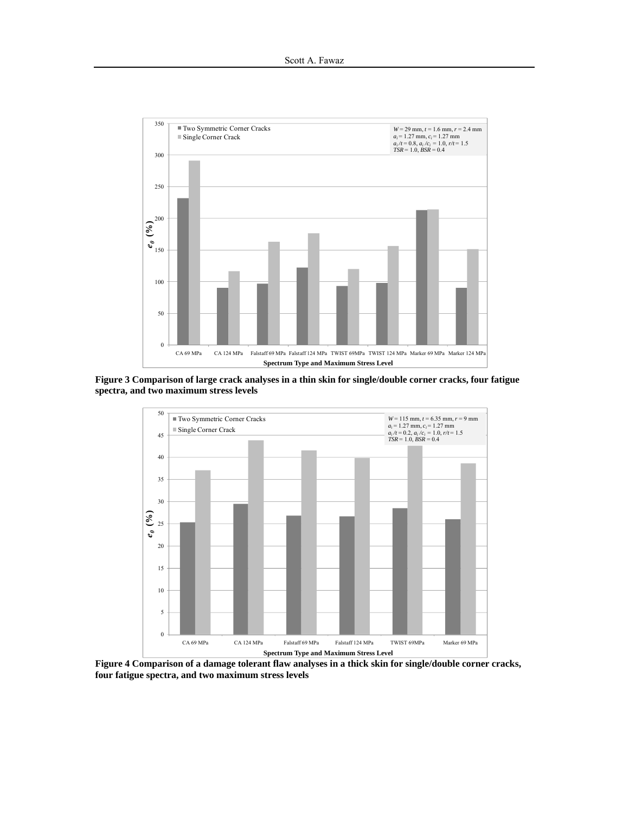

**Figure 3 Comparison of large crack analyses in a thin skin for single/double corner cracks, four fatigue spectra, and two maximum stress levels** 



**Figure 4 Comparison of a damage tolerant flaw analyses in a thick skin for single/double corner cracks, four fatigue spectra, and two maximum stress levels**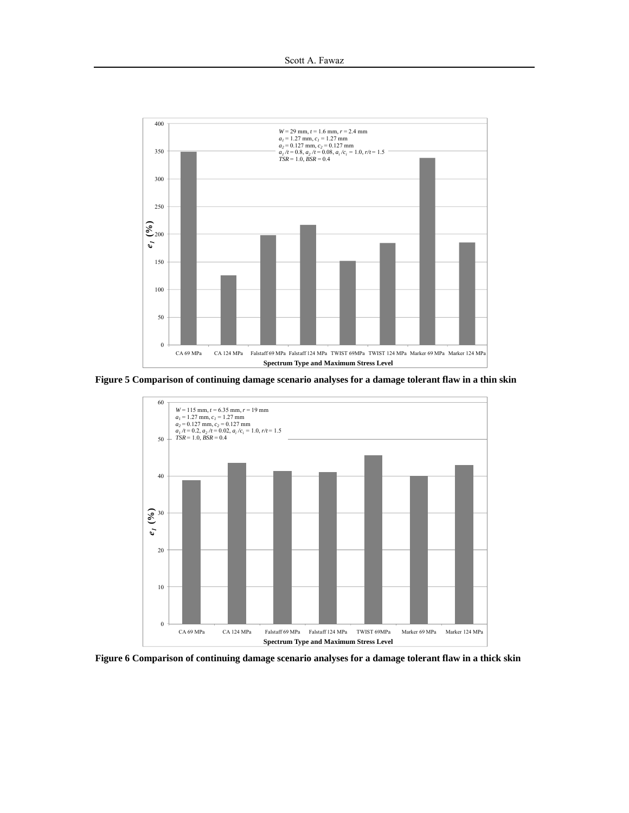

**Figure 5 Comparison of continuing damage scenario analyses for a damage tolerant flaw in a thin skin** 



**Figure 6 Comparison of continuing damage scenario analyses for a damage tolerant flaw in a thick skin**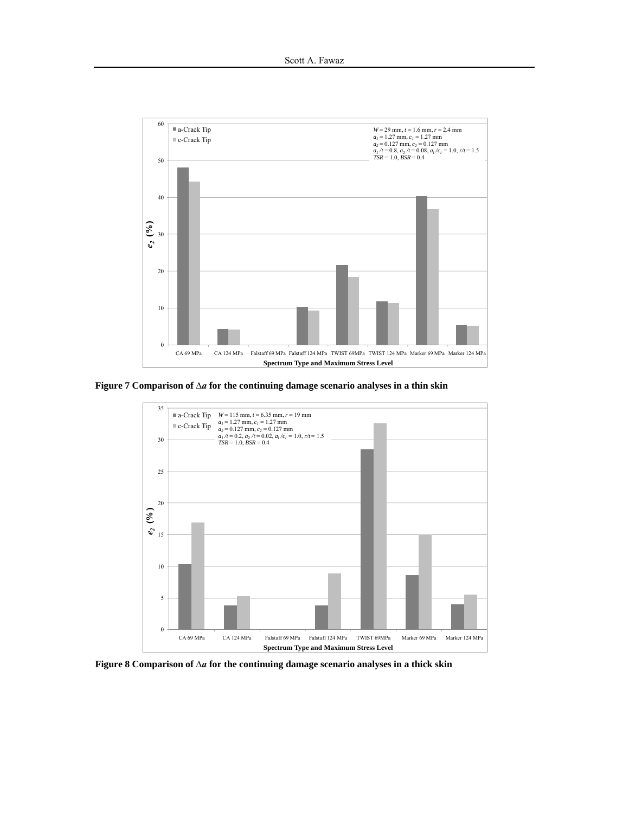

**Figure 7 Comparison of** *∆a* **for the continuing damage scenario analyses in a thin skin** 



**Figure 8 Comparison of** *∆a* **for the continuing damage scenario analyses in a thick skin**